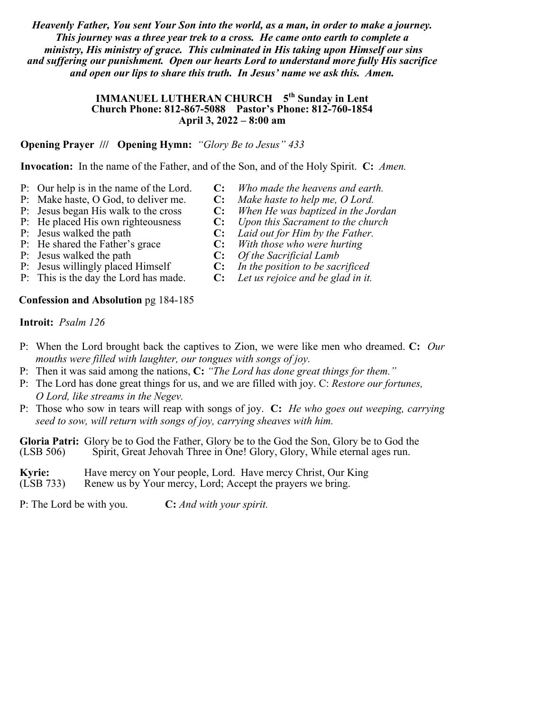*Heavenly Father, You sent Your Son into the world, as a man, in order to make a journey. This journey was a three year trek to a cross. He came onto earth to complete a ministry, His ministry of grace. This culminated in His taking upon Himself our sins and suffering our punishment. Open our hearts Lord to understand more fully His sacrifice and open our lips to share this truth. In Jesus' name we ask this. Amen.*

### **IMMANUEL LUTHERAN CHURCH 5<sup>th</sup> Sunday in Lent Church Phone: 812-867-5088 Pastor's Phone: 812-760-1854 April 3, 2022 – 8:00 am**

## **Opening Prayer /// Opening Hymn:** *"Glory Be to Jesus" 433*

**Invocation:** In the name of the Father, and of the Son, and of the Holy Spirit. **C:** *Amen.*

- P: Our help is in the name of the Lord. **C:** *Who made the heavens and earth.*
- 
- 
- P: He placed His own righteousness
- 
- P: He shared the Father's grace **C:** *With those who were hurting*
- P:Jesus walked the path **C:** *Of the Sacrificial Lamb*
- P: Jesus willingly placed Himself **C:** *In the position to be sacrificed*
- P: This is the day the Lord has made. **C:** *Let us rejoice and be glad in it.*

## **Confession and Absolution** pg 184-185

## **Introit:** *Psalm 126*

- P: When the Lord brought back the captives to Zion, we were like men who dreamed. **C:** *Our mouths were filled with laughter, our tongues with songs of joy.*
- P: Then it was said among the nations, **C:** *"The Lord has done great things for them."*
- P: The Lord has done great things for us, and we are filled with joy. C: *Restore our fortunes, O Lord, like streams in the Negev.*
- P: Those who sow in tears will reap with songs of joy. **C:** *He who goes out weeping, carrying seed to sow, will return with songs of joy, carrying sheaves with him.*

**Gloria Patri:** Glory be to God the Father, Glory be to the God the Son, Glory be to God the (LSB 506) Spirit, Great Jehovah Three in One! Glory, Glory, While eternal ages run.

**Kyrie:** Have mercy on Your people, Lord. Have mercy Christ, Our King (LSB 733) Renew us by Your mercy, Lord; Accept the prayers we bring.

P: The Lord be with you. **C:** *And with your spirit.*

- 
- P: Make haste, O God, to deliver me. **C:** *Make haste to help me, O Lord.*
- P: Jesus began His walk to the cross **C:** *When He was baptized in the Jordan*
	-
- P: Jesus walked the path **C:** *Laid out for Him by the Father.*
	-
	-
	-
	-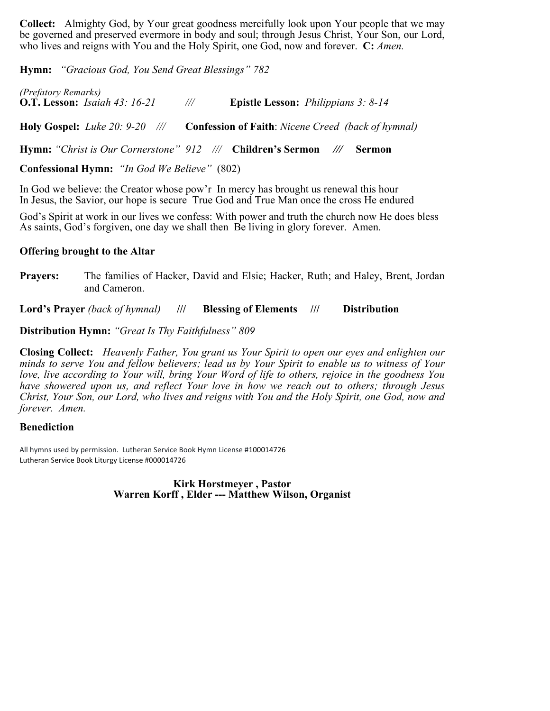**Collect:** Almighty God, by Your great goodness mercifully look upon Your people that we may be governed and preserved evermore in body and soul; through Jesus Christ, Your Son, our Lord, who lives and reigns with You and the Holy Spirit, one God, now and forever. **C:** *Amen.*

**Hymn:** *"Gracious God, You Send Great Blessings" 782*

*(Prefatory Remarks)* **O.T. Lesson:** *Isaiah 43: 16-21 ///* **Epistle Lesson:** *Philippians 3: 8-14* **Holy Gospel:** *Luke 20: 9-20 ///* **Confession of Faith**: *Nicene Creed (back of hymnal)*

**Hymn:** *"Christ is Our Cornerstone" 912 ///* **Children's Sermon** *///* **Sermon** 

**Confessional Hymn:** *"In God We Believe"* (802)

In God we believe: the Creator whose pow'r In mercy has brought us renewal this hour In Jesus, the Savior, our hope is secure True God and True Man once the cross He endured

God's Spirit at work in our lives we confess: With power and truth the church now He does bless As saints, God's forgiven, one day we shall then Be living in glory forever. Amen.

#### **Offering brought to the Altar**

**Prayers:** The families of Hacker, David and Elsie; Hacker, Ruth; and Haley, Brent, Jordan and Cameron.

**Lord's Prayer** *(back of hymnal)* **/// Blessing of Elements /// Distribution**

## **Distribution Hymn:** *"Great Is Thy Faithfulness" 809*

**Closing Collect:** *Heavenly Father, You grant us Your Spirit to open our eyes and enlighten our minds to serve You and fellow believers; lead us by Your Spirit to enable us to witness of Your love, live according to Your will, bring Your Word of life to others, rejoice in the goodness You have showered upon us, and reflect Your love in how we reach out to others; through Jesus Christ, Your Son, our Lord, who lives and reigns with You and the Holy Spirit, one God, now and forever. Amen.*

## **Benediction**

All hymns used by permission. Lutheran Service Book Hymn License #100014726 Lutheran Service Book Liturgy License #000014726

> **Kirk Horstmeyer , Pastor Warren Korff , Elder --- Matthew Wilson, Organist**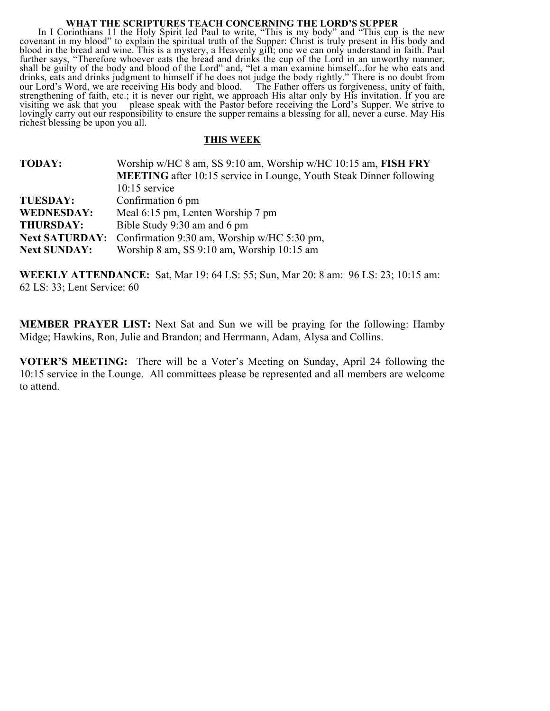#### **WHAT THE SCRIPTURES TEACH CONCERNING THE LORD'S SUPPER**

In I Corinthians 11 the Holy Spirit led Paul to write, "This is my body" and "This cup is the new covenant in my blood" to explain the spiritual truth of the Supper: Christ is truly present in His body and blood in the bread and wine. This is a mystery, a Heavenly gift; one we can only understand in faith. Paul further says, "Therefore whoever eats the bread and drinks the cup of the Lord in an unworthy manner, shall be guilty of the body and blood of the Lord" and, "let a man examine himself...for he who eats and drinks, eats and drinks judgment to himself if he does not judge the body rightly." There is no doubt from our Lord's Word, we are receiving His body and blood. The Father offers us forgiveness, unity of faith, strengthening of faith, etc.; it is never our right, we approach His altar only by His invitation. If you are visiting we ask that you please speak with the Pastor before receiving the Lord's Supper. We strive to lovingly carry out our responsibility to ensure the supper remains a blessing for all, never a curse. May His richest blessing be upon you all.

#### **THIS WEEK**

| Worship w/HC 8 am, SS 9:10 am, Worship w/HC 10:15 am, FISH FRY             |
|----------------------------------------------------------------------------|
| <b>MEETING</b> after 10:15 service in Lounge, Youth Steak Dinner following |
| $10:15$ service                                                            |
| Confirmation 6 pm                                                          |
| Meal 6:15 pm, Lenten Worship 7 pm                                          |
| Bible Study 9:30 am and 6 pm                                               |
| <b>Next SATURDAY:</b> Confirmation 9:30 am, Worship w/HC 5:30 pm,          |
| Worship 8 am, SS 9:10 am, Worship 10:15 am                                 |
|                                                                            |

**WEEKLY ATTENDANCE:** Sat, Mar 19: 64 LS: 55; Sun, Mar 20: 8 am: 96 LS: 23; 10:15 am: 62 LS: 33; Lent Service: 60

**MEMBER PRAYER LIST:** Next Sat and Sun we will be praying for the following: Hamby Midge; Hawkins, Ron, Julie and Brandon; and Herrmann, Adam, Alysa and Collins.

**VOTER'S MEETING:** There will be a Voter's Meeting on Sunday, April 24 following the 10:15 service in the Lounge. All committees please be represented and all members are welcome to attend.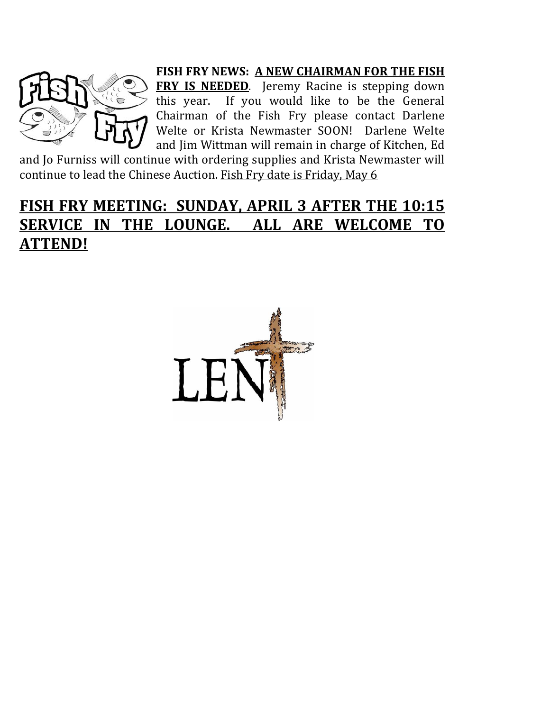

**FISH FRY NEWS: A NEW CHAIRMAN FOR THE FISH FRY IS NEEDED**. Jeremy Racine is stepping down this year. If you would like to be the General Chairman of the Fish Fry please contact Darlene Welte or Krista Newmaster SOON! Darlene Welte and Jim Wittman will remain in charge of Kitchen, Ed

and Jo Furniss will continue with ordering supplies and Krista Newmaster will continue to lead the Chinese Auction. Fish Fry date is Friday, May 6

## FISH FRY MEETING: SUNDAY, APRIL 3 AFTER THE 10:15 **SERVICE IN THE LOUNGE. ALL ARE WELCOME TO ATTEND!**